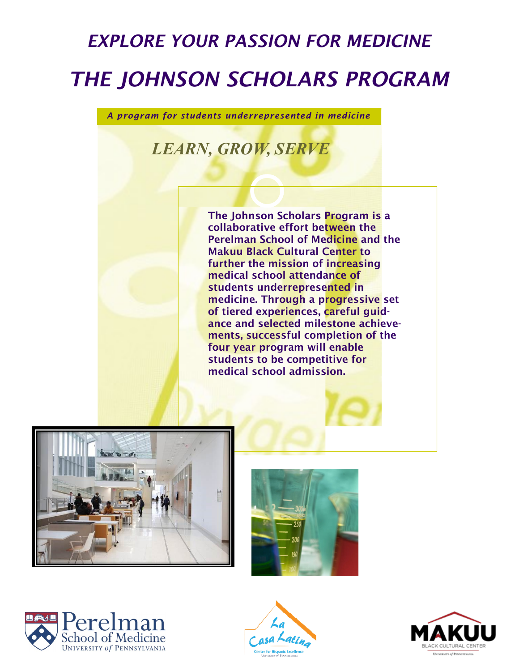## *EXPLORE YOUR PASSION FOR MEDICINE THE JOHNSON SCHOLARS PROGRAM*

*A program for students underrepresented in medicine*

## *LEARN, GROW, SERVE*

The Johnson Scholars Program is a collaborative effort between the Perelman School of Medicine and the Makuu Black Cultural Center to further the mission of increasing medical school attendance of students underrepresented in medicine. Through a progressive set of tiered experiences, careful guidance and selected milestone achievements, successful completion of the four year program will enable students to be competitive for medical school admission.